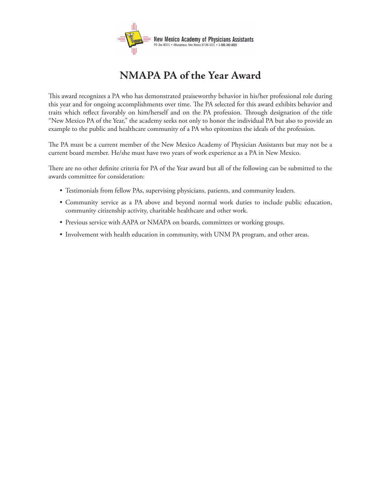

## **NMAPA PA of the Year Award**

This award recognizes a PA who has demonstrated praiseworthy behavior in his/her professional role during this year and for ongoing accomplishments over time. The PA selected for this award exhibits behavior and traits which reflect favorably on him/herself and on the PA profession. Through designation of the title "New Mexico PA of the Year," the academy seeks not only to honor the individual PA but also to provide an example to the public and healthcare community of a PA who epitomizes the ideals of the profession.

The PA must be a current member of the New Mexico Academy of Physician Assistants but may not be a current board member. He/she must have two years of work experience as a PA in New Mexico.

There are no other definite criteria for PA of the Year award but all of the following can be submitted to the awards committee for consideration:

- Testimonials from fellow PAs, supervising physicians, patients, and community leaders. •
- Community service as a PA above and beyond normal work duties to include public education, community citizenship activity, charitable healthcare and other work.
- Previous service with AAPA or NMAPA on boards, committees or working groups. •
- Involvement with health education in community, with UNM PA program, and other areas.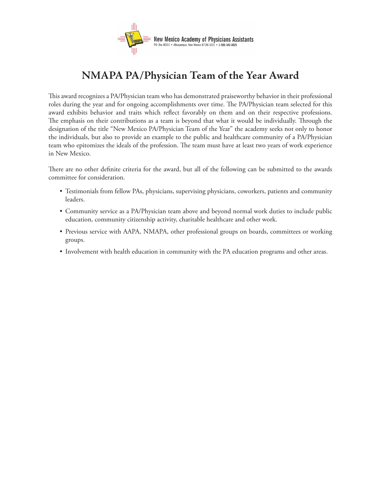

## **NMAPA PA/Physician Team of the Year Award**

This award recognizes a PA/Physician team who has demonstrated praiseworthy behavior in their professional roles during the year and for ongoing accomplishments over time. The PA/Physician team selected for this award exhibits behavior and traits which reflect favorably on them and on their respective professions. The emphasis on their contributions as a team is beyond that what it would be individually. Through the designation of the title "New Mexico PA/Physician Team of the Year" the academy seeks not only to honor the individuals, but also to provide an example to the public and healthcare community of a PA/Physician team who epitomizes the ideals of the profession. The team must have at least two years of work experience in New Mexico.

There are no other definite criteria for the award, but all of the following can be submitted to the awards committee for consideration.

- Testimonials from fellow PAs, physicians, supervising physicians, coworkers, patients and community leaders.
- Community service as a PA/Physician team above and beyond normal work duties to include public education, community citizenship activity, charitable healthcare and other work.
- Previous service with AAPA, NMAPA, other professional groups on boards, committees or working groups.
- Involvement with health education in community with the PA education programs and other areas.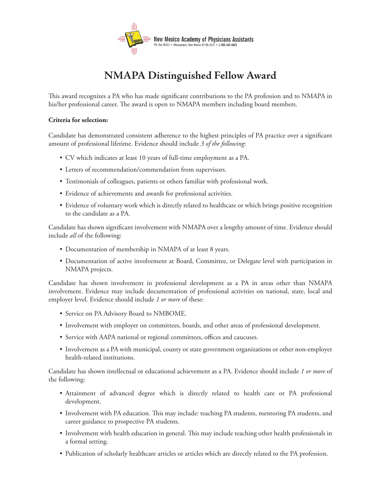

# **NMAPA Distinguished Fellow Award**

This award recognizes a PA who has made significant contributions to the PA profession and to NMAPA in his/her professional career. The award is open to NMAPA members including board members.

#### **Criteria for selection:**

Candidate has demonstrated consistent adherence to the highest principles of PA practice over a significant amount of professional lifetime. Evidence should include *3 of the following*:

- CV which indicates at least 10 years of full-time employment as a PA. •
- Letters of recommendation/commendation from supervisors. •
- Testimonials of colleagues, patients or others familiar with professional work. •
- Evidence of achievements and awards for professional activities. •
- Evidence of voluntary work which is directly related to healthcare or which brings positive recognition to the candidate as a PA.

Candidate has shown significant involvement with NMAPA over a lengthy amount of time. Evidence should include *all* of the following:

- Documentation of membership in NMAPA of at least 8 years. •
- Documentation of active involvement at Board, Committee, or Delegate level with participation in NMAPA projects.

Candidate has shown involvement in professional development as a PA in areas other than NMAPA involvement. Evidence may include documentation of professional activities on national, state, local and employer level. Evidence should include *1 or more* of these:

- Service on PA Advisory Board to NMBOME.
- Involvement with employer on committees, boards, and other areas of professional development.
- Service with AAPA national or regional committees, offices and caucuses.
- Involvement as a PA with municipal, county or state government organizations or other non-employer health-related institutions.

Candidate has shown intellectual or educational achievement as a PA. Evidence should include *1 or more* of the following:

- Attainment of advanced degree which is directly related to health care or PA professional development.
- Involvement with PA education. This may include: teaching PA students, mentoring PA students, and career guidance to prospective PA students.
- Involvement with health education in general. This may include teaching other health professionals in a formal setting.
- Publication of scholarly healthcare articles or articles which are directly related to the PA profession. •